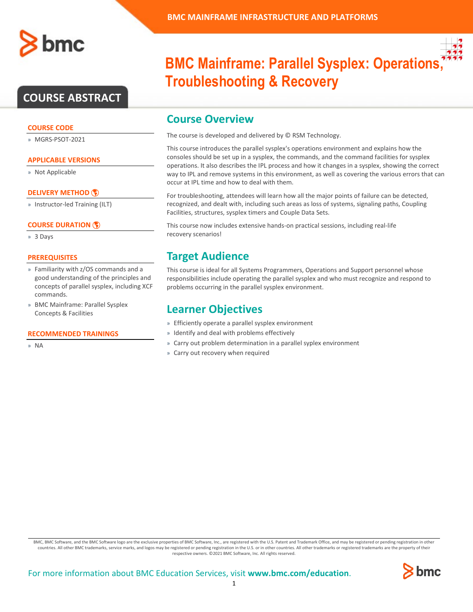

## **COURSE ABSTRACT**

#### **COURSE CODE**

» MGRS-PSOT-2021

#### **APPLICABLE VERSIONS**

» Not Applicable

#### **[DELIVERY METHOD](http://www.bmc.com/education/modality.html)**

» Instructor-led Training (ILT)

#### **[COURSE DURATION](http://www.bmc.com/education/learning-paths/education-filters-learning-paths.html)**

» 3 Days

#### **PREREQUISITES**

- » Familiarity with z/OS commands and a good understanding of the principles and concepts of parallel sysplex, including XCF commands.
- » BMC Mainframe: Parallel Sysplex Concepts & Facilities

#### **RECOMMENDED TRAININGS**

» NA

# **BMC Mainframe: Parallel Sysplex: Operations Troubleshooting & Recovery**

### **Course Overview**

The course is developed and delivered by © RSM Technology.

This course introduces the parallel sysplex's operations environment and explains how the consoles should be set up in a sysplex, the commands, and the command facilities for sysplex operations. It also describes the IPL process and how it changes in a sysplex, showing the correct way to IPL and remove systems in this environment, as well as covering the various errors that can occur at IPL time and how to deal with them.

For troubleshooting, attendees will learn how all the major points of failure can be detected, recognized, and dealt with, including such areas as loss of systems, signaling paths, Coupling Facilities, structures, sysplex timers and Couple Data Sets.

This course now includes extensive hands-on practical sessions, including real-life recovery scenarios!

### **Target Audience**

This course is ideal for all Systems Programmers, Operations and Support personnel whose responsibilities include operating the parallel sysplex and who must recognize and respond to problems occurring in the parallel sysplex environment.

### **Learner Objectives**

- » Efficiently operate a parallel sysplex environment
- » Identify and deal with problems effectively
- » Carry out problem determination in a parallel syplex environment
- » Carry out recovery when required

BMC, BMC Software, and the BMC Software logo are the exclusive properties of BMC Software, Inc., are registered with the U.S. Patent and Trademark Office, and may be registered or pending registration in other countries. All other BMC trademarks, service marks, and logos may be registered or pending registration in the U.S. or in other countries. All other trademarks or registered trademarks are the property of their respective owners. ©2021 BMC Software, Inc. All rights reserved.

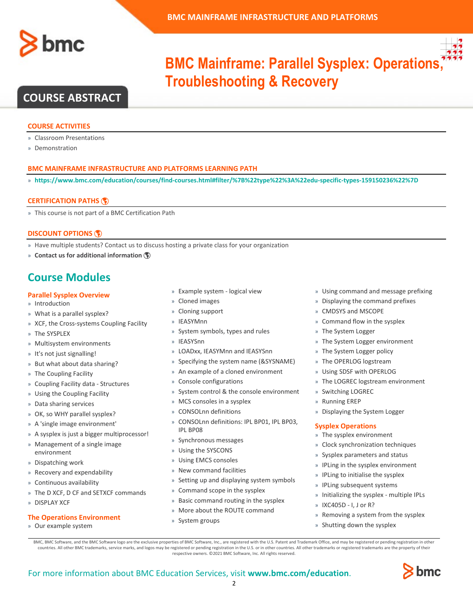



# **BMC Mainframe: Parallel Sysplex: Operations Troubleshooting & Recovery**

## **COURSE ABSTRACT**

#### **COURSE ACTIVITIES**

- » Classroom Presentations
- » Demonstration

#### **BMC MAINFRAME INFRASTRUCTURE AND PLATFORMS LEARNING PATH**

» **<https://www.bmc.com/education/courses/find-courses.html#filter/%7B%22type%22%3A%22edu-specific-types-159150236%22%7D>**

#### **[CERTIFICATION PATHS](http://www.bmc.com/education/certification-programs)**

» This course is not part of a BMC Certification Path

#### **[DISCOUNT OPTIONS](http://www.bmc.com/education/customer-service/customer-service.html)**

- » Have multiple students? Contact us to discuss hosting a private class for your organization
- » **[Contact us for additional information](http://www.bmc.com/education)**

## **Course Modules**

#### **Parallel Sysplex Overview**

- » Introduction
- » What is a parallel sysplex?
- » XCF, the Cross-systems Coupling Facility
- » The SYSPLEX
- » Multisystem environments
- » It's not just signalling!
- » But what about data sharing?
- » The Coupling Facility
- » Coupling Facility data Structures
- » Using the Coupling Facility
- » Data sharing services
- » OK, so WHY parallel sysplex?
- » A 'single image environment'
- » A sysplex is just a bigger multiprocessor!
- » Management of a single image environment
- » Dispatching work
- » Recovery and expendability
- » Continuous availability
- » The D XCF, D CF and SETXCF commands
- » DISPLAY XCF

#### **The Operations Environment**

» Our example system

- » Example system logical view
- » Cloned images
- » Cloning support
- » IEASYMnn
- » System symbols, types and rules
- » IEASYSnn
- » LOADxx, IEASYMnn and IEASYSnn
- » Specifying the system name (&SYSNAME)
- » An example of a cloned environment
- » Console configurations
- » System control & the console environment
- » MCS consoles in a sysplex
- » CONSOLnn definitions
- » CONSOLnn definitions: IPL BP01, IPL BP03, IPL BP08
- » Synchronous messages
- » Using the SYSCONS
- » Using EMCS consoles
- » New command facilities
- » Setting up and displaying system symbols
- » Command scope in the sysplex
- » Basic command routing in the sysplex
- » More about the ROUTE command
- » System groups
- » Using command and message prefixing
- » Displaying the command prefixes
- » CMDSYS and MSCOPE
- » Command flow in the sysplex
- » The System Logger
- » The System Logger environment
- » The System Logger policy
- » The OPERLOG logstream
- » Using SDSF with OPERLOG
- » The LOGREC logstream environment
- » Switching LOGREC
- » Running EREP
- » Displaying the System Logger

#### **Sysplex Operations**

- » The sysplex environment
- » Clock synchronization techniques
- » Sysplex parameters and status
- » IPLing in the sysplex environment
- » IPLing to initialise the sysplex
- » IPLing subsequent systems
- » Initializing the sysplex multiple IPLs
- » IXC405D I, J or R?
- » Removing a system from the sysplex
- » Shutting down the sysplex

BMC, BMC Software, and the BMC Software logo are the exclusive properties of BMC Software, Inc., are registered with the U.S. Patent and Trademark Office, and may be registered or pending registration in other countries. All other BMC trademarks, service marks, and logos may be registered or pending registration in the U.S. or in other countries. All other trademarks or registered trademarks are the property of their respective owners. ©2021 BMC Software, Inc. All rights reserved.